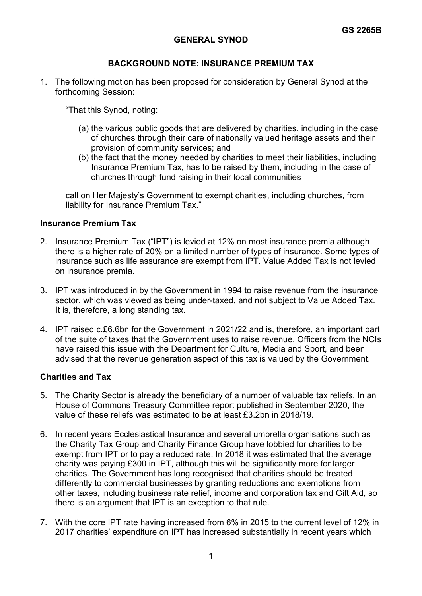# **GENERAL SYNOD**

# **BACKGROUND NOTE: INSURANCE PREMIUM TAX**

1. The following motion has been proposed for consideration by General Synod at the forthcoming Session:

"That this Synod, noting:

- (a) the various public goods that are delivered by charities, including in the case of churches through their care of nationally valued heritage assets and their provision of community services; and
- (b) the fact that the money needed by charities to meet their liabilities, including Insurance Premium Tax, has to be raised by them, including in the case of churches through fund raising in their local communities

call on Her Majesty's Government to exempt charities, including churches, from liability for Insurance Premium Tax."

#### **Insurance Premium Tax**

- 2. Insurance Premium Tax ("IPT") is levied at 12% on most insurance premia although there is a higher rate of 20% on a limited number of types of insurance. Some types of insurance such as life assurance are exempt from IPT. Value Added Tax is not levied on insurance premia.
- 3. IPT was introduced in by the Government in 1994 to raise revenue from the insurance sector, which was viewed as being under-taxed, and not subject to Value Added Tax. It is, therefore, a long standing tax.
- 4. IPT raised c.£6.6bn for the Government in 2021/22 and is, therefore, an important part of the suite of taxes that the Government uses to raise revenue. Officers from the NCIs have raised this issue with the Department for Culture, Media and Sport, and been advised that the revenue generation aspect of this tax is valued by the Government.

#### **Charities and Tax**

- 5. The Charity Sector is already the beneficiary of a number of valuable tax reliefs. In an House of Commons Treasury Committee report published in September 2020, the value of these reliefs was estimated to be at least £3.2bn in 2018/19.
- 6. In recent years Ecclesiastical Insurance and several umbrella organisations such as the Charity Tax Group and Charity Finance Group have lobbied for charities to be exempt from IPT or to pay a reduced rate. In 2018 it was estimated that the average charity was paying £300 in IPT, although this will be significantly more for larger charities. The Government has long recognised that charities should be treated differently to commercial businesses by granting reductions and exemptions from other taxes, including business rate relief, income and corporation tax and Gift Aid, so there is an argument that IPT is an exception to that rule.
- 7. With the core IPT rate having increased from 6% in 2015 to the current level of 12% in 2017 charities' expenditure on IPT has increased substantially in recent years which